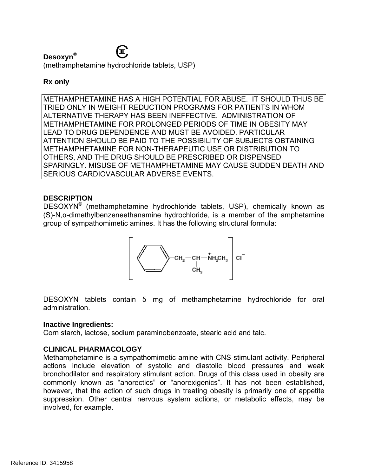#### (T) **Desoxyn®**  (methamphetamine hydrochloride tablets, USP)

## **Rx only**

METHAMPHETAMINE HAS A HIGH POTENTIAL FOR ABUSE. IT SHOULD THUS BE TRIED ONLY IN WEIGHT REDUCTION PROGRAMS FOR PATIENTS IN WHOM ALTERNATIVE THERAPY HAS BEEN INEFFECTIVE. ADMINISTRATION OF METHAMPHETAMINE FOR PROLONGED PERIODS OF TIME IN OBESITY MAY LEAD TO DRUG DEPENDENCE AND MUST BE AVOIDED. PARTICULAR ATTENTION SHOULD BE PAID TO THE POSSIBILITY OF SUBJECTS OBTAINING METHAMPHETAMINE FOR NON-THERAPEUTIC USE OR DISTRIBUTION TO OTHERS, AND THE DRUG SHOULD BE PRESCRIBED OR DISPENSED SPARINGLY. MISUSE OF METHAMPHETAMINE MAY CAUSE SUDDEN DEATH AND SERIOUS CARDIOVASCULAR ADVERSE EVENTS.

#### **DESCRIPTION**

DESOXYN® (methamphetamine hydrochloride tablets, USP), chemically known as (S)-N,α-dimethylbenzeneethanamine hydrochloride, is a member of the amphetamine group of sympathomimetic amines. It has the following structural formula:



DESOXYN tablets contain 5 mg of methamphetamine hydrochloride for oral administration.

#### **Inactive Ingredients:**

Corn starch, lactose, sodium paraminobenzoate, stearic acid and talc.

#### **CLINICAL PHARMACOLOGY**

Methamphetamine is a sympathomimetic amine with CNS stimulant activity. Peripheral actions include elevation of systolic and diastolic blood pressures and weak bronchodilator and respiratory stimulant action. Drugs of this class used in obesity are commonly known as "anorectics" or "anorexigenics". It has not been established, however, that the action of such drugs in treating obesity is primarily one of appetite suppression. Other central nervous system actions, or metabolic effects, may be involved, for example.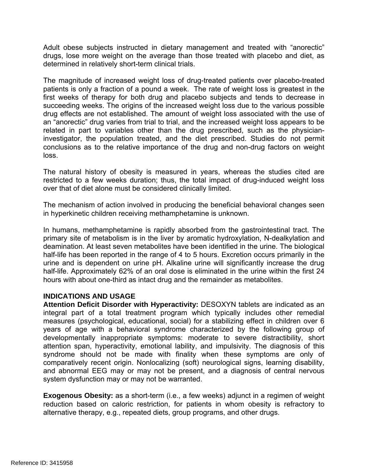Adult obese subjects instructed in dietary management and treated with "anorectic" drugs, lose more weight on the average than those treated with placebo and diet, as determined in relatively short-term clinical trials.

The magnitude of increased weight loss of drug-treated patients over placebo-treated patients is only a fraction of a pound a week. The rate of weight loss is greatest in the first weeks of therapy for both drug and placebo subjects and tends to decrease in succeeding weeks. The origins of the increased weight loss due to the various possible drug effects are not established. The amount of weight loss associated with the use of an "anorectic" drug varies from trial to trial, and the increased weight loss appears to be related in part to variables other than the drug prescribed, such as the physicianinvestigator, the population treated, and the diet prescribed. Studies do not permit conclusions as to the relative importance of the drug and non-drug factors on weight loss.

The natural history of obesity is measured in years, whereas the studies cited are restricted to a few weeks duration; thus, the total impact of drug-induced weight loss over that of diet alone must be considered clinically limited.

The mechanism of action involved in producing the beneficial behavioral changes seen in hyperkinetic children receiving methamphetamine is unknown.

In humans, methamphetamine is rapidly absorbed from the gastrointestinal tract. The primary site of metabolism is in the liver by aromatic hydroxylation, N-dealkylation and deamination. At least seven metabolites have been identified in the urine. The biological half-life has been reported in the range of 4 to 5 hours. Excretion occurs primarily in the urine and is dependent on urine pH. Alkaline urine will significantly increase the drug half-life. Approximately 62% of an oral dose is eliminated in the urine within the first 24 hours with about one-third as intact drug and the remainder as metabolites.

### **INDICATIONS AND USAGE**

**Attention Deficit Disorder with Hyperactivity:** DESOXYN tablets are indicated as an integral part of a total treatment program which typically includes other remedial measures (psychological, educational, social) for a stabilizing effect in children over 6 years of age with a behavioral syndrome characterized by the following group of developmentally inappropriate symptoms: moderate to severe distractibility, short attention span, hyperactivity, emotional lability, and impulsivity. The diagnosis of this syndrome should not be made with finality when these symptoms are only of comparatively recent origin. Nonlocalizing (soft) neurological signs, learning disability, and abnormal EEG may or may not be present, and a diagnosis of central nervous system dysfunction may or may not be warranted.

**Exogenous Obesity:** as a short-term (i.e., a few weeks) adjunct in a regimen of weight reduction based on caloric restriction, for patients in whom obesity is refractory to alternative therapy, e.g., repeated diets, group programs, and other drugs.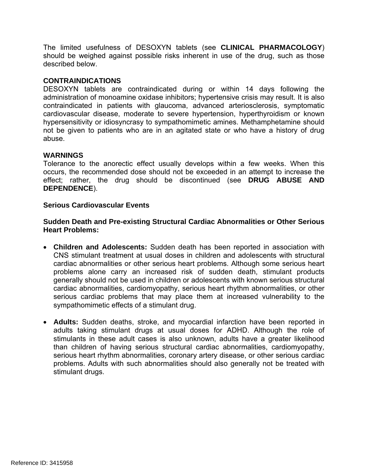The limited usefulness of DESOXYN tablets (see **CLINICAL PHARMACOLOGY**) should be weighed against possible risks inherent in use of the drug, such as those described below.

#### **CONTRAINDICATIONS**

DESOXYN tablets are contraindicated during or within 14 days following the administration of monoamine oxidase inhibitors; hypertensive crisis may result. It is also contraindicated in patients with glaucoma, advanced arteriosclerosis, symptomatic cardiovascular disease, moderate to severe hypertension, hyperthyroidism or known hypersensitivity or idiosyncrasy to sympathomimetic amines. Methamphetamine should not be given to patients who are in an agitated state or who have a history of drug abuse.

#### **WARNINGS**

Tolerance to the anorectic effect usually develops within a few weeks. When this occurs, the recommended dose should not be exceeded in an attempt to increase the effect; rather, the drug should be discontinued (see **DRUG ABUSE AND DEPENDENCE**).

#### **Serious Cardiovascular Events**

**Sudden Death and Pre-existing Structural Cardiac Abnormalities or Other Serious Heart Problems:** 

- **Children and Adolescents:** Sudden death has been reported in association with CNS stimulant treatment at usual doses in children and adolescents with structural cardiac abnormalities or other serious heart problems. Although some serious heart problems alone carry an increased risk of sudden death, stimulant products generally should not be used in children or adolescents with known serious structural cardiac abnormalities, cardiomyopathy, serious heart rhythm abnormalities, or other serious cardiac problems that may place them at increased vulnerability to the sympathomimetic effects of a stimulant drug.
- **Adults:** Sudden deaths, stroke, and myocardial infarction have been reported in adults taking stimulant drugs at usual doses for ADHD. Although the role of stimulants in these adult cases is also unknown, adults have a greater likelihood than children of having serious structural cardiac abnormalities, cardiomyopathy, serious heart rhythm abnormalities, coronary artery disease, or other serious cardiac problems. Adults with such abnormalities should also generally not be treated with stimulant drugs.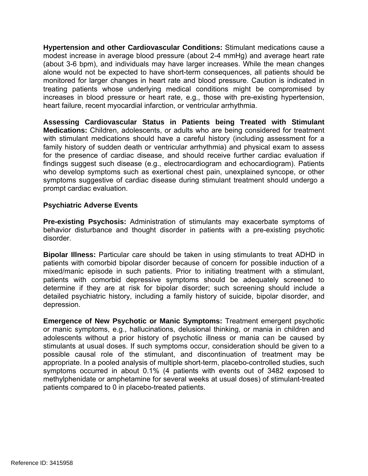**Hypertension and other Cardiovascular Conditions:** Stimulant medications cause a modest increase in average blood pressure (about 2-4 mmHg) and average heart rate (about 3-6 bpm), and individuals may have larger increases. While the mean changes alone would not be expected to have short-term consequences, all patients should be monitored for larger changes in heart rate and blood pressure. Caution is indicated in treating patients whose underlying medical conditions might be compromised by increases in blood pressure or heart rate, e.g., those with pre-existing hypertension, heart failure, recent myocardial infarction, or ventricular arrhythmia.

**Assessing Cardiovascular Status in Patients being Treated with Stimulant Medications:** Children, adolescents, or adults who are being considered for treatment with stimulant medications should have a careful history (including assessment for a family history of sudden death or ventricular arrhythmia) and physical exam to assess for the presence of cardiac disease, and should receive further cardiac evaluation if findings suggest such disease (e.g., electrocardiogram and echocardiogram). Patients who develop symptoms such as exertional chest pain, unexplained syncope, or other symptoms suggestive of cardiac disease during stimulant treatment should undergo a prompt cardiac evaluation.

## **Psychiatric Adverse Events**

**Pre-existing Psychosis:** Administration of stimulants may exacerbate symptoms of behavior disturbance and thought disorder in patients with a pre-existing psychotic disorder.

**Bipolar Illness:** Particular care should be taken in using stimulants to treat ADHD in patients with comorbid bipolar disorder because of concern for possible induction of a mixed/manic episode in such patients. Prior to initiating treatment with a stimulant, patients with comorbid depressive symptoms should be adequately screened to determine if they are at risk for bipolar disorder; such screening should include a detailed psychiatric history, including a family history of suicide, bipolar disorder, and depression.

**Emergence of New Psychotic or Manic Symptoms:** Treatment emergent psychotic or manic symptoms, e.g., hallucinations, delusional thinking, or mania in children and adolescents without a prior history of psychotic illness or mania can be caused by stimulants at usual doses. If such symptoms occur, consideration should be given to a possible causal role of the stimulant, and discontinuation of treatment may be appropriate. In a pooled analysis of multiple short-term, placebo-controlled studies, such symptoms occurred in about 0.1% (4 patients with events out of 3482 exposed to methylphenidate or amphetamine for several weeks at usual doses) of stimulant-treated patients compared to 0 in placebo-treated patients.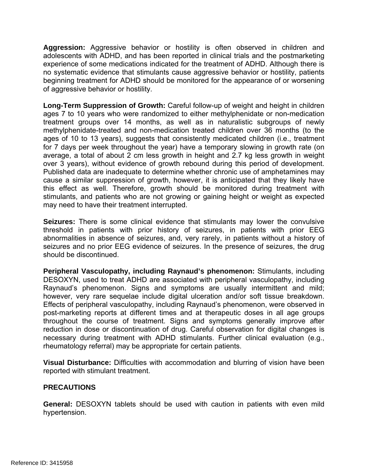**Aggression:** Aggressive behavior or hostility is often observed in children and adolescents with ADHD, and has been reported in clinical trials and the postmarketing experience of some medications indicated for the treatment of ADHD. Although there is no systematic evidence that stimulants cause aggressive behavior or hostility, patients beginning treatment for ADHD should be monitored for the appearance of or worsening of aggressive behavior or hostility.

**Long-Term Suppression of Growth:** Careful follow-up of weight and height in children ages 7 to 10 years who were randomized to either methylphenidate or non-medication treatment groups over 14 months, as well as in naturalistic subgroups of newly methylphenidate-treated and non-medication treated children over 36 months (to the ages of 10 to 13 years), suggests that consistently medicated children (i.e., treatment for 7 days per week throughout the year) have a temporary slowing in growth rate (on average, a total of about 2 cm less growth in height and 2.7 kg less growth in weight over 3 years), without evidence of growth rebound during this period of development. Published data are inadequate to determine whether chronic use of amphetamines may cause a similar suppression of growth, however, it is anticipated that they likely have this effect as well. Therefore, growth should be monitored during treatment with stimulants, and patients who are not growing or gaining height or weight as expected may need to have their treatment interrupted.

**Seizures:** There is some clinical evidence that stimulants may lower the convulsive threshold in patients with prior history of seizures, in patients with prior EEG abnormalities in absence of seizures, and, very rarely, in patients without a history of seizures and no prior EEG evidence of seizures. In the presence of seizures, the drug should be discontinued.

**Peripheral Vasculopathy, including Raynaud's phenomenon:** Stimulants, including DESOXYN, used to treat ADHD are associated with peripheral vasculopathy, including Raynaud's phenomenon. Signs and symptoms are usually intermittent and mild; however, very rare sequelae include digital ulceration and/or soft tissue breakdown. Effects of peripheral vasculopathy, including Raynaud's phenomenon, were observed in post-marketing reports at different times and at therapeutic doses in all age groups throughout the course of treatment. Signs and symptoms generally improve after reduction in dose or discontinuation of drug. Careful observation for digital changes is necessary during treatment with ADHD stimulants. Further clinical evaluation (e.g., rheumatology referral) may be appropriate for certain patients.

**Visual Disturbance:** Difficulties with accommodation and blurring of vision have been reported with stimulant treatment.

### **PRECAUTIONS**

**General:** DESOXYN tablets should be used with caution in patients with even mild hypertension.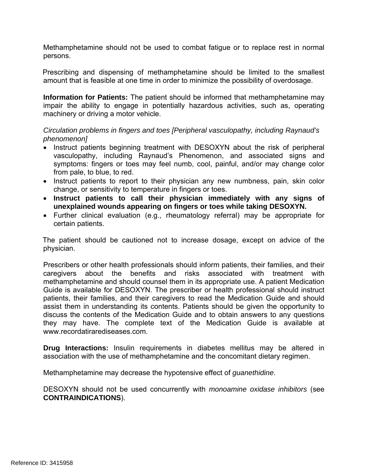Methamphetamine should not be used to combat fatigue or to replace rest in normal persons.

Prescribing and dispensing of methamphetamine should be limited to the smallest amount that is feasible at one time in order to minimize the possibility of overdosage.

**Information for Patients:** The patient should be informed that methamphetamine may impair the ability to engage in potentially hazardous activities, such as, operating machinery or driving a motor vehicle.

*Circulation problems in fingers and toes [Peripheral vasculopathy, including Raynaud's phenomenon]* 

- Instruct patients beginning treatment with DESOXYN about the risk of peripheral vasculopathy, including Raynaud's Phenomenon, and associated signs and symptoms: fingers or toes may feel numb, cool, painful, and/or may change color from pale, to blue, to red.
- Instruct patients to report to their physician any new numbness, pain, skin color change, or sensitivity to temperature in fingers or toes.
- **Instruct patients to call their physician immediately with any signs of unexplained wounds appearing on fingers or toes while taking DESOXYN.**
- Further clinical evaluation (e.g., rheumatology referral) may be appropriate for certain patients.

The patient should be cautioned not to increase dosage, except on advice of the physician.

Prescribers or other health professionals should inform patients, their families, and their caregivers about the benefits and risks associated with treatment with methamphetamine and should counsel them in its appropriate use. A patient Medication Guide is available for DESOXYN. The prescriber or health professional should instruct patients, their families, and their caregivers to read the Medication Guide and should assist them in understanding its contents. Patients should be given the opportunity to discuss the contents of the Medication Guide and to obtain answers to any questions they may have. The complete text of the Medication Guide is available at www.recordatirarediseases.com.

**Drug Interactions:** Insulin requirements in diabetes mellitus may be altered in association with the use of methamphetamine and the concomitant dietary regimen.

Methamphetamine may decrease the hypotensive effect of *guanethidine*.

DESOXYN should not be used concurrently with *monoamine oxidase inhibitors* (see **CONTRAINDICATIONS**).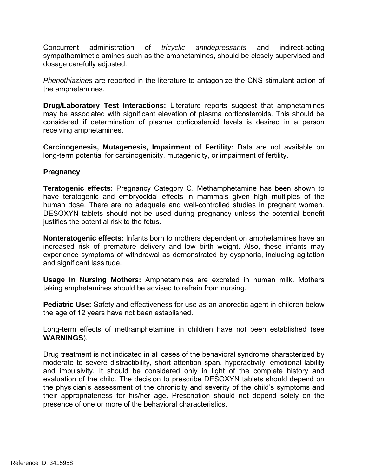Concurrent administration of *tricyclic antidepressants* and indirect-acting sympathomimetic amines such as the amphetamines, should be closely supervised and dosage carefully adjusted.

*Phenothiazines* are reported in the literature to antagonize the CNS stimulant action of the amphetamines.

**Drug/Laboratory Test Interactions:** Literature reports suggest that amphetamines may be associated with significant elevation of plasma corticosteroids. This should be considered if determination of plasma corticosteroid levels is desired in a person receiving amphetamines.

**Carcinogenesis, Mutagenesis, Impairment of Fertility:** Data are not available on long-term potential for carcinogenicity, mutagenicity, or impairment of fertility.

#### **Pregnancy**

**Teratogenic effects:** Pregnancy Category C. Methamphetamine has been shown to have teratogenic and embryocidal effects in mammals given high multiples of the human dose. There are no adequate and well-controlled studies in pregnant women. DESOXYN tablets should not be used during pregnancy unless the potential benefit justifies the potential risk to the fetus.

**Nonteratogenic effects:** Infants born to mothers dependent on amphetamines have an increased risk of premature delivery and low birth weight. Also, these infants may experience symptoms of withdrawal as demonstrated by dysphoria, including agitation and significant lassitude.

**Usage in Nursing Mothers:** Amphetamines are excreted in human milk. Mothers taking amphetamines should be advised to refrain from nursing.

**Pediatric Use:** Safety and effectiveness for use as an anorectic agent in children below the age of 12 years have not been established.

Long-term effects of methamphetamine in children have not been established (see **WARNINGS**).

Drug treatment is not indicated in all cases of the behavioral syndrome characterized by moderate to severe distractibility, short attention span, hyperactivity, emotional lability and impulsivity. It should be considered only in light of the complete history and evaluation of the child. The decision to prescribe DESOXYN tablets should depend on the physician's assessment of the chronicity and severity of the child's symptoms and their appropriateness for his/her age. Prescription should not depend solely on the presence of one or more of the behavioral characteristics.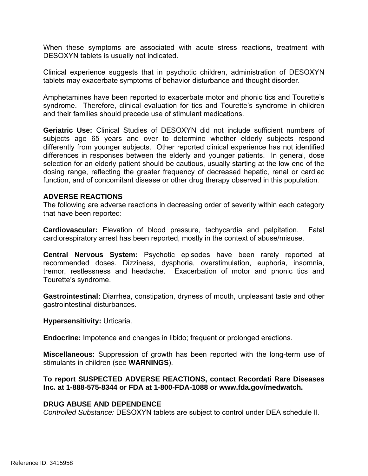When these symptoms are associated with acute stress reactions, treatment with DESOXYN tablets is usually not indicated.

Clinical experience suggests that in psychotic children, administration of DESOXYN tablets may exacerbate symptoms of behavior disturbance and thought disorder.

Amphetamines have been reported to exacerbate motor and phonic tics and Tourette's syndrome. Therefore, clinical evaluation for tics and Tourette's syndrome in children and their families should precede use of stimulant medications.

**Geriatric Use:** Clinical Studies of DESOXYN did not include sufficient numbers of subjects age 65 years and over to determine whether elderly subjects respond differently from younger subjects. Other reported clinical experience has not identified differences in responses between the elderly and younger patients. In general, dose selection for an elderly patient should be cautious, usually starting at the low end of the dosing range, reflecting the greater frequency of decreased hepatic, renal or cardiac function, and of concomitant disease or other drug therapy observed in this population.

#### **ADVERSE REACTIONS**

The following are adverse reactions in decreasing order of severity within each category that have been reported:

**Cardiovascular:** Elevation of blood pressure, tachycardia and palpitation. Fatal cardiorespiratory arrest has been reported, mostly in the context of abuse/misuse.

**Central Nervous System:** Psychotic episodes have been rarely reported at recommended doses. Dizziness, dysphoria, overstimulation, euphoria, insomnia, tremor, restlessness and headache. Exacerbation of motor and phonic tics and Tourette's syndrome.

**Gastrointestinal:** Diarrhea, constipation, dryness of mouth, unpleasant taste and other gastrointestinal disturbances.

#### **Hypersensitivity:** Urticaria.

**Endocrine:** Impotence and changes in libido; frequent or prolonged erections.

**Miscellaneous:** Suppression of growth has been reported with the long-term use of stimulants in children (see **WARNINGS**).

**To report SUSPECTED ADVERSE REACTIONS, contact Recordati Rare Diseases Inc. at 1-888-575-8344 or FDA at 1-800-FDA-1088 or www.fda.gov/medwatch.** 

#### **DRUG ABUSE AND DEPENDENCE**

*Controlled Substance:* DESOXYN tablets are subject to control under DEA schedule II.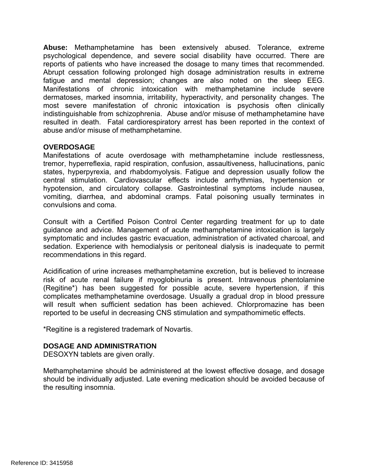**Abuse:** Methamphetamine has been extensively abused. Tolerance, extreme psychological dependence, and severe social disability have occurred. There are reports of patients who have increased the dosage to many times that recommended. Abrupt cessation following prolonged high dosage administration results in extreme fatigue and mental depression; changes are also noted on the sleep EEG. Manifestations of chronic intoxication with methamphetamine include severe dermatoses, marked insomnia, irritability, hyperactivity, and personality changes. The most severe manifestation of chronic intoxication is psychosis often clinically indistinguishable from schizophrenia. Abuse and/or misuse of methamphetamine have resulted in death. Fatal cardiorespiratory arrest has been reported in the context of abuse and/or misuse of methamphetamine.

### **OVERDOSAGE**

Manifestations of acute overdosage with methamphetamine include restlessness, tremor, hyperreflexia, rapid respiration, confusion, assaultiveness, hallucinations, panic states, hyperpyrexia, and rhabdomyolysis. Fatigue and depression usually follow the central stimulation. Cardiovascular effects include arrhythmias, hypertension or hypotension, and circulatory collapse. Gastrointestinal symptoms include nausea, vomiting, diarrhea, and abdominal cramps. Fatal poisoning usually terminates in convulsions and coma.

Consult with a Certified Poison Control Center regarding treatment for up to date guidance and advice. Management of acute methamphetamine intoxication is largely symptomatic and includes gastric evacuation, administration of activated charcoal, and sedation. Experience with hemodialysis or peritoneal dialysis is inadequate to permit recommendations in this regard.

Acidification of urine increases methamphetamine excretion, but is believed to increase risk of acute renal failure if myoglobinuria is present. Intravenous phentolamine (Regitine\*) has been suggested for possible acute, severe hypertension, if this complicates methamphetamine overdosage. Usually a gradual drop in blood pressure will result when sufficient sedation has been achieved. Chlorpromazine has been reported to be useful in decreasing CNS stimulation and sympathomimetic effects.

\*Regitine is a registered trademark of Novartis.

### **DOSAGE AND ADMINISTRATION**

DESOXYN tablets are given orally.

Methamphetamine should be administered at the lowest effective dosage, and dosage should be individually adjusted. Late evening medication should be avoided because of the resulting insomnia.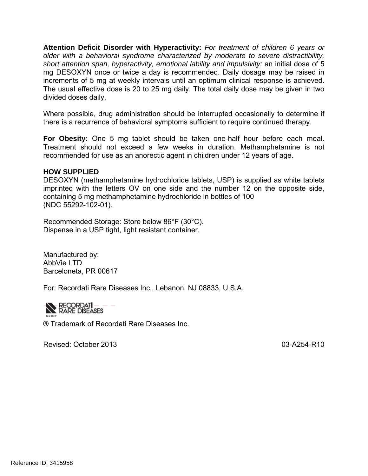**Attention Deficit Disorder with Hyperactivity:** *For treatment of children 6 years or older with a behavioral syndrome characterized by moderate to severe distractibility, short attention span, hyperactivity, emotional lability and impulsivity:* an initial dose of 5 mg DESOXYN once or twice a day is recommended. Daily dosage may be raised in increments of 5 mg at weekly intervals until an optimum clinical response is achieved. The usual effective dose is 20 to 25 mg daily. The total daily dose may be given in two divided doses daily.

Where possible, drug administration should be interrupted occasionally to determine if there is a recurrence of behavioral symptoms sufficient to require continued therapy.

**For Obesity:** One 5 mg tablet should be taken one-half hour before each meal. Treatment should not exceed a few weeks in duration. Methamphetamine is not recommended for use as an anorectic agent in children under 12 years of age.

#### **HOW SUPPLIED**

DESOXYN (methamphetamine hydrochloride tablets, USP) is supplied as white tablets imprinted with the letters OV on one side and the number 12 on the opposite side, containing 5 mg methamphetamine hydrochloride in bottles of 100 (NDC 55292-102-01).

Recommended Storage: Store below 86°F (30°C). Dispense in a USP tight, light resistant container.

Manufactured by: AbbVie LTD Barceloneta, PR 00617

For: Recordati Rare Diseases Inc., Lebanon, NJ 08833, U.S.A.



® Trademark of Recordati Rare Diseases Inc.

Revised: October 2013 **Details and Contact Contact Contact Contact Contact Contact Contact Contact Contact Contact Contact Contact Contact Contact Contact Contact Contact Contact Contact Contact Contact Contact Contact Con**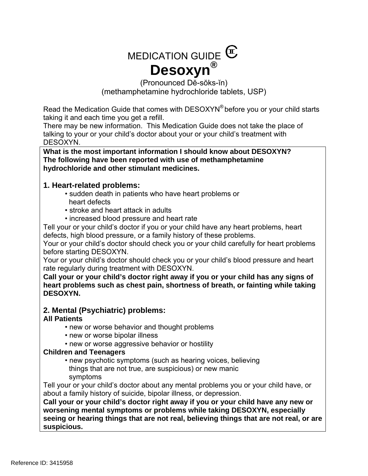# MEDICATION GUIDE  $\mathfrak{\mathfrak{E}}$ **Desoxyn®**

(Pronounced Dĕ-sŏks-ĭn) (methamphetamine hydrochloride tablets, USP)

Read the Medication Guide that comes with DESOXYN<sup>®</sup> before you or your child starts taking it and each time you get a refill.

There may be new information. This Medication Guide does not take the place of talking to your or your child's doctor about your or your child's treatment with DESOXYN.

**What is the most important information I should know about DESOXYN? The following have been reported with use of methamphetamine hydrochloride and other stimulant medicines.** 

## **1. Heart-related problems:**

- sudden death in patients who have heart problems or heart defects
- stroke and heart attack in adults
- increased blood pressure and heart rate

Tell your or your child's doctor if you or your child have any heart problems, heart defects, high blood pressure, or a family history of these problems.

Your or your child's doctor should check you or your child carefully for heart problems before starting DESOXYN.

Your or your child's doctor should check you or your child's blood pressure and heart rate regularly during treatment with DESOXYN.

**Call your or your child's doctor right away if you or your child has any signs of heart problems such as chest pain, shortness of breath, or fainting while taking DESOXYN.** 

# **2. Mental (Psychiatric) problems:**

## **All Patients**

- new or worse behavior and thought problems
- new or worse bipolar illness
- new or worse aggressive behavior or hostility

### **Children and Teenagers**

 • new psychotic symptoms (such as hearing voices, believing things that are not true, are suspicious) or new manic symptoms

Tell your or your child's doctor about any mental problems you or your child have, or about a family history of suicide, bipolar illness, or depression.

**Call your or your child's doctor right away if you or your child have any new or worsening mental symptoms or problems while taking DESOXYN, especially seeing or hearing things that are not real, believing things that are not real, or are suspicious.**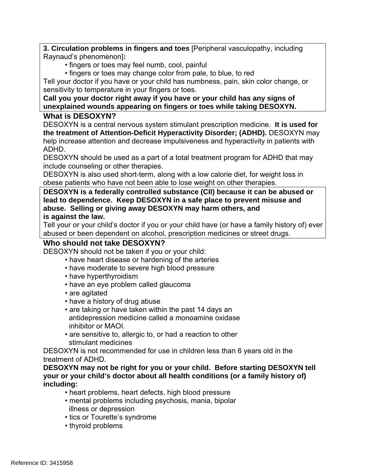**3. Circulation problems in fingers and toes** [Peripheral vasculopathy, including Raynaud's phenomenon]**:**

- fingers or toes may feel numb, cool, painful
- fingers or toes may change color from pale, to blue, to red

Tell your doctor if you have or your child has numbness, pain, skin color change, or sensitivity to temperature in your fingers or toes.

**Call you your doctor right away if you have or your child has any signs of unexplained wounds appearing on fingers or toes while taking DESOXYN.** 

## **What is DESOXYN?**

DESOXYN is a central nervous system stimulant prescription medicine. **It is used for the treatment of Attention-Deficit Hyperactivity Disorder; (ADHD).** DESOXYN may help increase attention and decrease impulsiveness and hyperactivity in patients with ADHD.

DESOXYN should be used as a part of a total treatment program for ADHD that may include counseling or other therapies.

DESOXYN is also used short-term, along with a low calorie diet, for weight loss in obese patients who have not been able to lose weight on other therapies.

**DESOXYN is a federally controlled substance (CII) because it can be abused or lead to dependence. Keep DESOXYN in a safe place to prevent misuse and abuse. Selling or giving away DESOXYN may harm others, and is against the law.** 

Tell your or your child's doctor if you or your child have (or have a family history of) ever abused or been dependent on alcohol, prescription medicines or street drugs.

## **Who should not take DESOXYN?**

DESOXYN should not be taken if you or your child:

- have heart disease or hardening of the arteries
- have moderate to severe high blood pressure
- have hyperthyroidism
- have an eye problem called glaucoma
- are agitated
- have a history of drug abuse
- are taking or have taken within the past 14 days an antidepression medicine called a monoamine oxidase inhibitor or MAOI.
- are sensitive to, allergic to, or had a reaction to other stimulant medicines

DESOXYN is not recommended for use in children less than 6 years old in the treatment of ADHD.

**DESOXYN may not be right for you or your child. Before starting DESOXYN tell your or your child's doctor about all health conditions (or a family history of) including:** 

- heart problems, heart defects, high blood pressure
- mental problems including psychosis, mania, bipolar illness or depression
- tics or Tourette's syndrome
- thyroid problems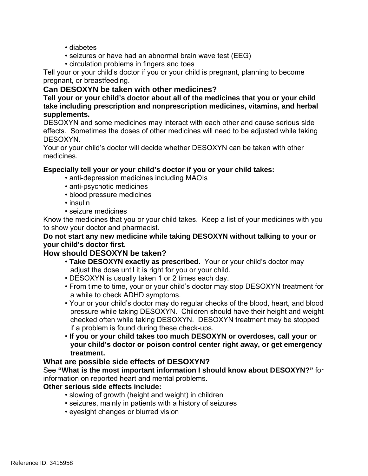- diabetes
- seizures or have had an abnormal brain wave test (EEG)
- circulation problems in fingers and toes

Tell your or your child's doctor if you or your child is pregnant, planning to become pregnant, or breastfeeding.

## **Can DESOXYN be taken with other medicines?**

**Tell your or your child's doctor about all of the medicines that you or your child take including prescription and nonprescription medicines, vitamins, and herbal supplements.** 

DESOXYN and some medicines may interact with each other and cause serious side effects. Sometimes the doses of other medicines will need to be adjusted while taking DESOXYN.

Your or your child's doctor will decide whether DESOXYN can be taken with other medicines.

## **Especially tell your or your child's doctor if you or your child takes:**

- anti-depression medicines including MAOIs
- anti-psychotic medicines
- blood pressure medicines
- insulin
- seizure medicines

Know the medicines that you or your child takes. Keep a list of your medicines with you to show your doctor and pharmacist.

## **Do not start any new medicine while taking DESOXYN without talking to your or your child's doctor first.**

## **How should DESOXYN be taken?**

- **Take DESOXYN exactly as prescribed.** Your or your child's doctor may adjust the dose until it is right for you or your child.
- DESOXYN is usually taken 1 or 2 times each day.
- From time to time, your or your child's doctor may stop DESOXYN treatment for a while to check ADHD symptoms.
- Your or your child's doctor may do regular checks of the blood, heart, and blood pressure while taking DESOXYN. Children should have their height and weight checked often while taking DESOXYN. DESOXYN treatment may be stopped if a problem is found during these check-ups.
- **If you or your child takes too much DESOXYN or overdoses, call your or your child's doctor or poison control center right away, or get emergency treatment.**

## **What are possible side effects of DESOXYN?**

See **"What is the most important information I should know about DESOXYN?"** for information on reported heart and mental problems.

## **Other serious side effects include:**

- slowing of growth (height and weight) in children
- seizures, mainly in patients with a history of seizures
- eyesight changes or blurred vision